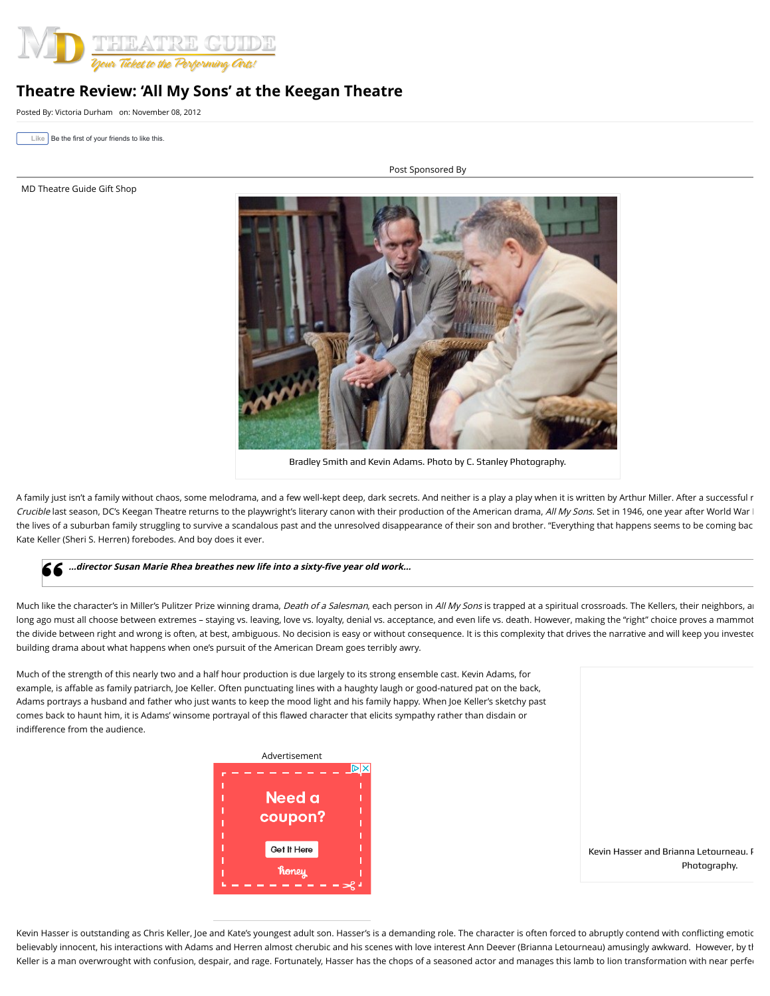

## **Theatre Review: 'All My Sons' at the Keegan Theatre**

Posted By: [Victoria Durham](https://mdtheatreguide.com/author/victoriadurham/) on: November 08, 2012

**Like** Be the first of your friends to like this.

[MD Theatre Guide Gift Shop](https://mdtheatreguide.com/wp-content/plugins/oiopub-direct/modules/tracker/go.php?id=654)

Post Sponsored By



Bradley Smith and Kevin Adams. Photo by C. Stanley Photography.

A family just isn't a family without chaos, some melodrama, and a few well-kept deep, dark secrets. And neither is a play a play when it is written by Arthur Miller. After a successful r Crucible last season, DC's Keegan Theatre returns to the playwright's literary canon with their production of the American drama, All My Sons. Set in 1946, one year after World War I the lives of a suburban family struggling to survive a scandalous past and the unresolved disappearance of their son and brother. "Everything that happens seems to be coming bac Kate Keller (Sheri S. Herren) forebodes. And boy does it ever.

## **…director Susan Marie Rhea breathes new life into a sixty-five year old work…**

Much like the character's in Miller's Pulitzer Prize winning drama, Death of a Salesman, each person in All My Sons is trapped at a spiritual crossroads. The Kellers, their neighbors, an long ago must all choose between extremes - staying vs. leaving, love vs. loyalty, denial vs. acceptance, and even life vs. death. However, making the "right" choice proves a mammot the divide between right and wrong is often, at best, ambiguous. No decision is easy or without consequence. It is this complexity that drives the narrative and will keep you invested building drama about what happens when one's pursuit of the American Dream goes terribly awry.

Much of the strength of this nearly two and a half hour production is due largely to its strong ensemble cast. Kevin Adams, for example, is affable as family patriarch, Joe Keller. Often punctuating lines with a haughty laugh or good-natured pat on the back, Adams portrays a husband and father who just wants to keep the mood light and his family happy. When Joe Keller's sketchy past comes back to haunt him, it is Adams' winsome portrayal of this flawed character that elicits sympathy rather than disdain or indifference from the audience.



Kevin Hasser and Brianna Letourneau. P Photography.

Kevin Hasser is outstanding as Chris Keller, Joe and Kate's youngest adult son. Hasser's is a demanding role. The character is often forced to abruptly contend with conflicting emotic believably innocent, his interactions with Adams and Herren almost cherubic and his scenes with love interest Ann Deever (Brianna Letourneau) amusingly awkward. However, by the Keller is a man overwrought with confusion, despair, and rage. Fortunately, Hasser has the chops of a seasoned actor and manages this lamb to lion transformation with near perfection